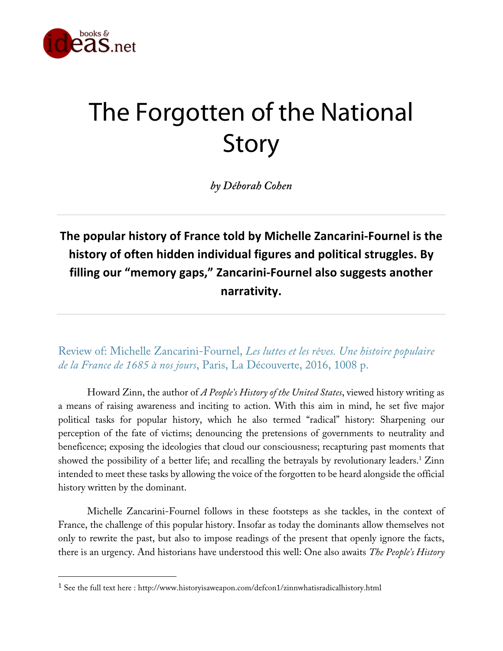

## The Forgotten of the National Story

*by Déborah Cohen*

**The popular history of France told by Michelle Zancarini-Fournel is the history of often hidden individual figures and political struggles. By filling our "memory gaps," Zancarini-Fournel also suggests another narrativity.**

Review of: Michelle Zancarini-Fournel, *Les luttes et les rêves. Une histoire populaire de la France de 1685 à nos jours*, Paris, La Découverte, 2016, 1008 p.

Howard Zinn, the author of *A People's History of the United States*, viewed history writing as a means of raising awareness and inciting to action. With this aim in mind, he set five major political tasks for popular history, which he also termed "radical" history: Sharpening our perception of the fate of victims; denouncing the pretensions of governments to neutrality and beneficence; exposing the ideologies that cloud our consciousness; recapturing past moments that showed the possibility of a better life; and recalling the betrayals by revolutionary leaders.<sup>1</sup> Zinn intended to meet these tasks by allowing the voice of the forgotten to be heard alongside the official history written by the dominant.

Michelle Zancarini-Fournel follows in these footsteps as she tackles, in the context of France, the challenge of this popular history. Insofar as today the dominants allow themselves not only to rewrite the past, but also to impose readings of the present that openly ignore the facts, there is an urgency. And historians have understood this well: One also awaits *The People's History*

 

<sup>&</sup>lt;sup>1</sup> See the full text here : http://www.historyisaweapon.com/defcon1/zinnwhatisradicalhistory.html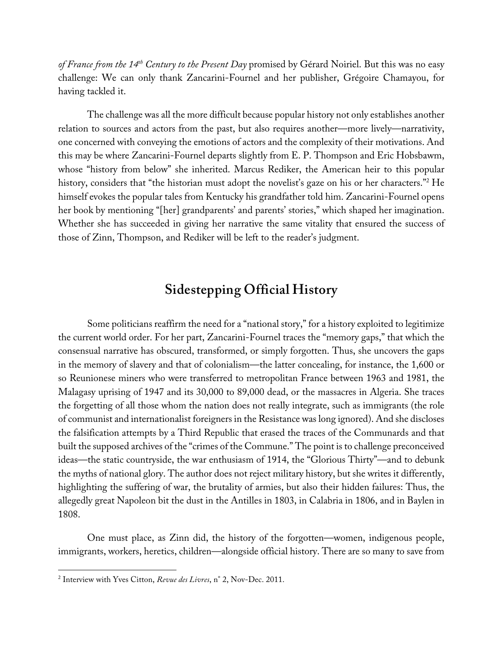*of France from the 14th Century to the Present Day* promised by Gérard Noiriel. But this was no easy challenge: We can only thank Zancarini-Fournel and her publisher, Grégoire Chamayou, for having tackled it.

The challenge was all the more difficult because popular history not only establishes another relation to sources and actors from the past, but also requires another—more lively—narrativity, one concerned with conveying the emotions of actors and the complexity of their motivations. And this may be where Zancarini-Fournel departs slightly from E. P. Thompson and Eric Hobsbawm, whose "history from below" she inherited. Marcus Rediker, the American heir to this popular history, considers that "the historian must adopt the novelist's gaze on his or her characters."<sup>2</sup> He himself evokes the popular tales from Kentucky his grandfather told him. Zancarini-Fournel opens her book by mentioning "[her] grandparents' and parents' stories," which shaped her imagination. Whether she has succeeded in giving her narrative the same vitality that ensured the success of those of Zinn, Thompson, and Rediker will be left to the reader's judgment.

## **Sidestepping Official History**

Some politicians reaffirm the need for a "national story," for a history exploited to legitimize the current world order. For her part, Zancarini-Fournel traces the "memory gaps," that which the consensual narrative has obscured, transformed, or simply forgotten. Thus, she uncovers the gaps in the memory of slavery and that of colonialism—the latter concealing, for instance, the 1,600 or so Reunionese miners who were transferred to metropolitan France between 1963 and 1981, the Malagasy uprising of 1947 and its 30,000 to 89,000 dead, or the massacres in Algeria. She traces the forgetting of all those whom the nation does not really integrate, such as immigrants (the role of communist and internationalist foreigners in the Resistance was long ignored). And she discloses the falsification attempts by a Third Republic that erased the traces of the Communards and that built the supposed archives of the "crimes of the Commune." The point is to challenge preconceived ideas—the static countryside, the war enthusiasm of 1914, the "Glorious Thirty"—and to debunk the myths of national glory. The author does not reject military history, but she writes it differently, highlighting the suffering of war, the brutality of armies, but also their hidden failures: Thus, the allegedly great Napoleon bit the dust in the Antilles in 1803, in Calabria in 1806, and in Baylen in 1808.

One must place, as Zinn did, the history of the forgotten—women, indigenous people, immigrants, workers, heretics, children—alongside official history. There are so many to save from

 

<sup>2</sup> Interview with Yves Citton, *Revue des Livres*, n° 2, Nov-Dec. 2011.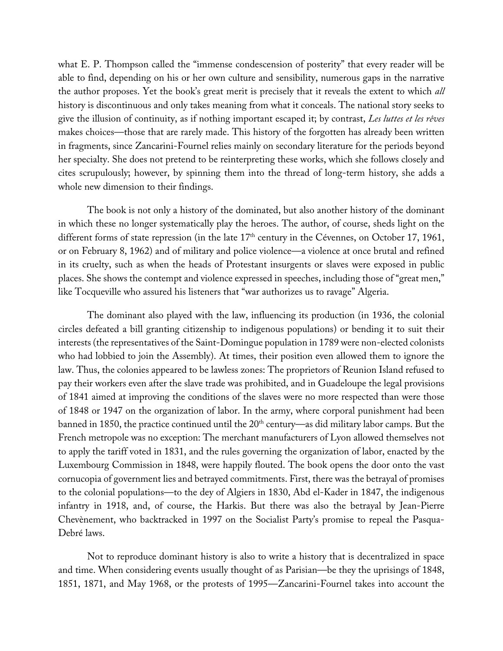what E. P. Thompson called the "immense condescension of posterity" that every reader will be able to find, depending on his or her own culture and sensibility, numerous gaps in the narrative the author proposes. Yet the book's great merit is precisely that it reveals the extent to which *all* history is discontinuous and only takes meaning from what it conceals. The national story seeks to give the illusion of continuity, as if nothing important escaped it; by contrast, *Les luttes et les rêves* makes choices—those that are rarely made. This history of the forgotten has already been written in fragments, since Zancarini-Fournel relies mainly on secondary literature for the periods beyond her specialty. She does not pretend to be reinterpreting these works, which she follows closely and cites scrupulously; however, by spinning them into the thread of long-term history, she adds a whole new dimension to their findings.

The book is not only a history of the dominated, but also another history of the dominant in which these no longer systematically play the heroes. The author, of course, sheds light on the different forms of state repression (in the late 17<sup>th</sup> century in the Cévennes, on October 17, 1961, or on February 8, 1962) and of military and police violence—a violence at once brutal and refined in its cruelty, such as when the heads of Protestant insurgents or slaves were exposed in public places. She shows the contempt and violence expressed in speeches, including those of "great men," like Tocqueville who assured his listeners that "war authorizes us to ravage" Algeria.

The dominant also played with the law, influencing its production (in 1936, the colonial circles defeated a bill granting citizenship to indigenous populations) or bending it to suit their interests (the representatives of the Saint-Domingue population in 1789 were non-elected colonists who had lobbied to join the Assembly). At times, their position even allowed them to ignore the law. Thus, the colonies appeared to be lawless zones: The proprietors of Reunion Island refused to pay their workers even after the slave trade was prohibited, and in Guadeloupe the legal provisions of 1841 aimed at improving the conditions of the slaves were no more respected than were those of 1848 or 1947 on the organization of labor. In the army, where corporal punishment had been banned in 1850, the practice continued until the  $20<sup>th</sup>$  century—as did military labor camps. But the French metropole was no exception: The merchant manufacturers of Lyon allowed themselves not to apply the tariff voted in 1831, and the rules governing the organization of labor, enacted by the Luxembourg Commission in 1848, were happily flouted. The book opens the door onto the vast cornucopia of government lies and betrayed commitments. First, there was the betrayal of promises to the colonial populations—to the dey of Algiers in 1830, Abd el-Kader in 1847, the indigenous infantry in 1918, and, of course, the Harkis. But there was also the betrayal by Jean-Pierre Chevènement, who backtracked in 1997 on the Socialist Party's promise to repeal the Pasqua-Debré laws.

Not to reproduce dominant history is also to write a history that is decentralized in space and time. When considering events usually thought of as Parisian—be they the uprisings of 1848, 1851, 1871, and May 1968, or the protests of 1995—Zancarini-Fournel takes into account the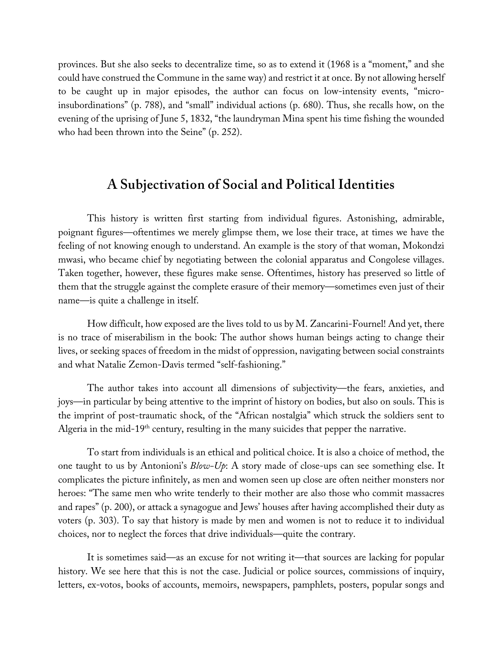provinces. But she also seeks to decentralize time, so as to extend it (1968 is a "moment," and she could have construed the Commune in the same way) and restrict it at once. By not allowing herself to be caught up in major episodes, the author can focus on low-intensity events, "microinsubordinations" (p. 788), and "small" individual actions (p. 680). Thus, she recalls how, on the evening of the uprising of June 5, 1832, "the laundryman Mina spent his time fishing the wounded who had been thrown into the Seine" (p. 252).

## **A Subjectivation of Social and Political Identities**

This history is written first starting from individual figures. Astonishing, admirable, poignant figures—oftentimes we merely glimpse them, we lose their trace, at times we have the feeling of not knowing enough to understand. An example is the story of that woman, Mokondzi mwasi, who became chief by negotiating between the colonial apparatus and Congolese villages. Taken together, however, these figures make sense. Oftentimes, history has preserved so little of them that the struggle against the complete erasure of their memory—sometimes even just of their name—is quite a challenge in itself.

How difficult, how exposed are the lives told to us by M. Zancarini-Fournel! And yet, there is no trace of miserabilism in the book: The author shows human beings acting to change their lives, or seeking spaces of freedom in the midst of oppression, navigating between social constraints and what Natalie Zemon-Davis termed "self-fashioning."

The author takes into account all dimensions of subjectivity—the fears, anxieties, and joys—in particular by being attentive to the imprint of history on bodies, but also on souls. This is the imprint of post-traumatic shock, of the "African nostalgia" which struck the soldiers sent to Algeria in the mid-19<sup>th</sup> century, resulting in the many suicides that pepper the narrative.

To start from individuals is an ethical and political choice. It is also a choice of method, the one taught to us by Antonioni's *Blow-Up*: A story made of close-ups can see something else. It complicates the picture infinitely, as men and women seen up close are often neither monsters nor heroes: "The same men who write tenderly to their mother are also those who commit massacres and rapes" (p. 200), or attack a synagogue and Jews' houses after having accomplished their duty as voters (p. 303). To say that history is made by men and women is not to reduce it to individual choices, nor to neglect the forces that drive individuals—quite the contrary.

It is sometimes said—as an excuse for not writing it—that sources are lacking for popular history. We see here that this is not the case. Judicial or police sources, commissions of inquiry, letters, ex-votos, books of accounts, memoirs, newspapers, pamphlets, posters, popular songs and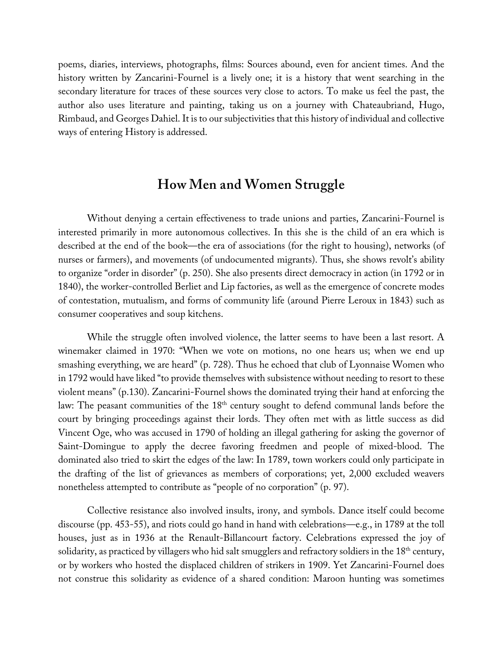poems, diaries, interviews, photographs, films: Sources abound, even for ancient times. And the history written by Zancarini-Fournel is a lively one; it is a history that went searching in the secondary literature for traces of these sources very close to actors. To make us feel the past, the author also uses literature and painting, taking us on a journey with Chateaubriand, Hugo, Rimbaud, and Georges Dahiel. It is to our subjectivities that this history of individual and collective ways of entering History is addressed.

## **How Men and Women Struggle**

Without denying a certain effectiveness to trade unions and parties, Zancarini-Fournel is interested primarily in more autonomous collectives. In this she is the child of an era which is described at the end of the book—the era of associations (for the right to housing), networks (of nurses or farmers), and movements (of undocumented migrants). Thus, she shows revolt's ability to organize "order in disorder" (p. 250). She also presents direct democracy in action (in 1792 or in 1840), the worker-controlled Berliet and Lip factories, as well as the emergence of concrete modes of contestation, mutualism, and forms of community life (around Pierre Leroux in 1843) such as consumer cooperatives and soup kitchens.

While the struggle often involved violence, the latter seems to have been a last resort. A winemaker claimed in 1970: "When we vote on motions, no one hears us; when we end up smashing everything, we are heard" (p. 728). Thus he echoed that club of Lyonnaise Women who in 1792 would have liked "to provide themselves with subsistence without needing to resort to these violent means" (p.130). Zancarini-Fournel shows the dominated trying their hand at enforcing the law: The peasant communities of the 18<sup>th</sup> century sought to defend communal lands before the court by bringing proceedings against their lords. They often met with as little success as did Vincent Oge, who was accused in 1790 of holding an illegal gathering for asking the governor of Saint-Domingue to apply the decree favoring freedmen and people of mixed-blood. The dominated also tried to skirt the edges of the law: In 1789, town workers could only participate in the drafting of the list of grievances as members of corporations; yet, 2,000 excluded weavers nonetheless attempted to contribute as "people of no corporation" (p. 97).

Collective resistance also involved insults, irony, and symbols. Dance itself could become discourse (pp. 453-55), and riots could go hand in hand with celebrations—e.g., in 1789 at the toll houses, just as in 1936 at the Renault-Billancourt factory. Celebrations expressed the joy of solidarity, as practiced by villagers who hid salt smugglers and refractory soldiers in the 18<sup>th</sup> century, or by workers who hosted the displaced children of strikers in 1909. Yet Zancarini-Fournel does not construe this solidarity as evidence of a shared condition: Maroon hunting was sometimes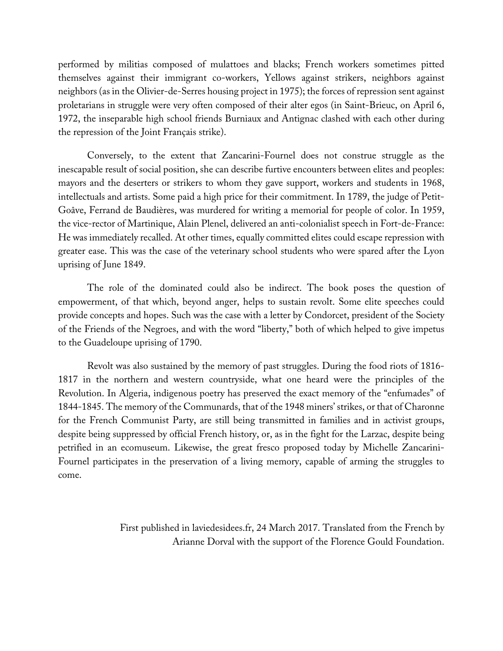performed by militias composed of mulattoes and blacks; French workers sometimes pitted themselves against their immigrant co-workers, Yellows against strikers, neighbors against neighbors (as in the Olivier-de-Serres housing project in 1975); the forces of repression sent against proletarians in struggle were very often composed of their alter egos (in Saint-Brieuc, on April 6, 1972, the inseparable high school friends Burniaux and Antignac clashed with each other during the repression of the Joint Français strike).

Conversely, to the extent that Zancarini-Fournel does not construe struggle as the inescapable result of social position, she can describe furtive encounters between elites and peoples: mayors and the deserters or strikers to whom they gave support, workers and students in 1968, intellectuals and artists. Some paid a high price for their commitment. In 1789, the judge of Petit-Goâve, Ferrand de Baudières, was murdered for writing a memorial for people of color. In 1959, the vice-rector of Martinique, Alain Plenel, delivered an anti-colonialist speech in Fort-de-France: He was immediately recalled. At other times, equally committed elites could escape repression with greater ease. This was the case of the veterinary school students who were spared after the Lyon uprising of June 1849.

The role of the dominated could also be indirect. The book poses the question of empowerment, of that which, beyond anger, helps to sustain revolt. Some elite speeches could provide concepts and hopes. Such was the case with a letter by Condorcet, president of the Society of the Friends of the Negroes, and with the word "liberty," both of which helped to give impetus to the Guadeloupe uprising of 1790.

Revolt was also sustained by the memory of past struggles. During the food riots of 1816- 1817 in the northern and western countryside, what one heard were the principles of the Revolution. In Algeria, indigenous poetry has preserved the exact memory of the "enfumades" of 1844-1845. The memory of the Communards, that of the 1948 miners' strikes, or that of Charonne for the French Communist Party, are still being transmitted in families and in activist groups, despite being suppressed by official French history, or, as in the fight for the Larzac, despite being petrified in an ecomuseum. Likewise, the great fresco proposed today by Michelle Zancarini-Fournel participates in the preservation of a living memory, capable of arming the struggles to come.

> First published in laviedesidees.fr, 24 March 2017. Translated from the French by Arianne Dorval with the support of the Florence Gould Foundation.